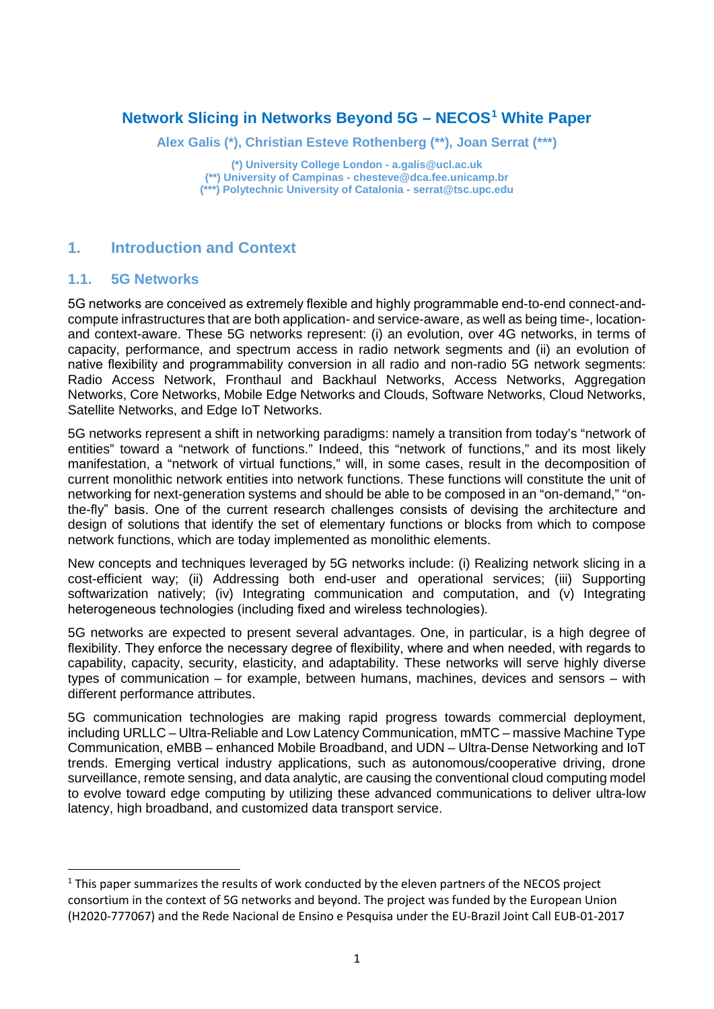### **Network Slicing in Networks Beyond 5G – NECOS[1](#page-0-0) White Paper**

**Alex Galis (\*), Christian Esteve Rothenberg (\*\*), Joan Serrat (\*\*\*)**

**(\*) University College London - a.galis@ucl.ac.uk (\*\*) University of Campinas - chesteve@dca.fee.unicamp.br (\*\*\*) Polytechnic University of Catalonia - serrat@tsc.upc.edu**

#### **1. Introduction and Context**

#### **1.1. 5G Networks**

5G networks are conceived as extremely flexible and highly programmable end-to-end connect-andcompute infrastructures that are both application- and service-aware, as well as being time-, locationand context-aware. These 5G networks represent: (i) an evolution, over 4G networks, in terms of capacity, performance, and spectrum access in radio network segments and (ii) an evolution of native flexibility and programmability conversion in all radio and non-radio 5G network segments: Radio Access Network, Fronthaul and Backhaul Networks, Access Networks, Aggregation Networks, Core Networks, Mobile Edge Networks and Clouds, Software Networks, Cloud Networks, Satellite Networks, and Edge IoT Networks.

5G networks represent a shift in networking paradigms: namely a transition from today's "network of entities" toward a "network of functions." Indeed, this "network of functions," and its most likely manifestation, a "network of virtual functions," will, in some cases, result in the decomposition of current monolithic network entities into network functions. These functions will constitute the unit of networking for next-generation systems and should be able to be composed in an "on-demand," "onthe-fly" basis. One of the current research challenges consists of devising the architecture and design of solutions that identify the set of elementary functions or blocks from which to compose network functions, which are today implemented as monolithic elements.

New concepts and techniques leveraged by 5G networks include: (i) Realizing network slicing in a cost-efficient way; (ii) Addressing both end-user and operational services; (iii) Supporting softwarization natively; (iv) Integrating communication and computation, and (v) Integrating heterogeneous technologies (including fixed and wireless technologies).

5G networks are expected to present several advantages. One, in particular, is a high degree of flexibility. They enforce the necessary degree of flexibility, where and when needed, with regards to capability, capacity, security, elasticity, and adaptability. These networks will serve highly diverse types of communication – for example, between humans, machines, devices and sensors – with different performance attributes.

5G communication technologies are making rapid progress towards commercial deployment, including URLLC – Ultra-Reliable and Low Latency Communication, mMTC – massive Machine Type Communication, eMBB – enhanced Mobile Broadband, and UDN – Ultra-Dense Networking and IoT trends. Emerging vertical industry applications, such as autonomous/cooperative driving, drone surveillance, remote sensing, and data analytic, are causing the conventional cloud computing model to evolve toward edge computing by utilizing these advanced communications to deliver ultra-low latency, high broadband, and customized data transport service.

<span id="page-0-0"></span><sup>&</sup>lt;sup>1</sup> This paper summarizes the results of work conducted by the eleven partners of the NECOS project consortium in the context of 5G networks and beyond. The project was funded by the European Union (H2020-777067) and the Rede Nacional de Ensino e Pesquisa under the EU-Brazil Joint Call EUB-01-2017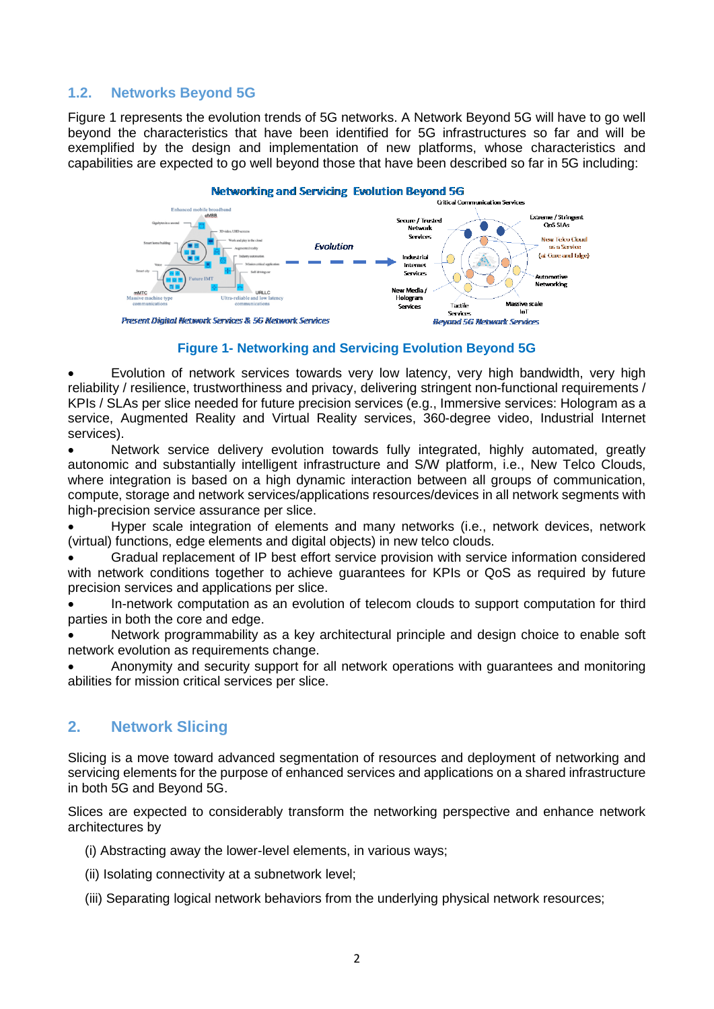#### **1.2. Networks Beyond 5G**

Figure 1 represents the evolution trends of 5G networks. A Network Beyond 5G will have to go well beyond the characteristics that have been identified for 5G infrastructures so far and will be exemplified by the design and implementation of new platforms, whose characteristics and capabilities are expected to go well beyond those that have been described so far in 5G including:



**Figure 1- Networking and Servicing Evolution Beyond 5G**

• Evolution of network services towards very low latency, very high bandwidth, very high reliability / resilience, trustworthiness and privacy, delivering stringent non-functional requirements / KPIs / SLAs per slice needed for future precision services (e.g., Immersive services: Hologram as a service, Augmented Reality and Virtual Reality services, 360-degree video, Industrial Internet services).

Network service delivery evolution towards fully integrated, highly automated, greatly autonomic and substantially intelligent infrastructure and S/W platform, i.e., New Telco Clouds, where integration is based on a high dynamic interaction between all groups of communication, compute, storage and network services/applications resources/devices in all network segments with high-precision service assurance per slice.

• Hyper scale integration of elements and many networks (i.e., network devices, network (virtual) functions, edge elements and digital objects) in new telco clouds.

• Gradual replacement of IP best effort service provision with service information considered with network conditions together to achieve guarantees for KPIs or QoS as required by future precision services and applications per slice.

• In-network computation as an evolution of telecom clouds to support computation for third parties in both the core and edge.

• Network programmability as a key architectural principle and design choice to enable soft network evolution as requirements change.

• Anonymity and security support for all network operations with guarantees and monitoring abilities for mission critical services per slice.

#### **2. Network Slicing**

Slicing is a move toward advanced segmentation of resources and deployment of networking and servicing elements for the purpose of enhanced services and applications on a shared infrastructure in both 5G and Beyond 5G.

Slices are expected to considerably transform the networking perspective and enhance network architectures by

- (i) Abstracting away the lower-level elements, in various ways;
- (ii) Isolating connectivity at a subnetwork level;
- (iii) Separating logical network behaviors from the underlying physical network resources;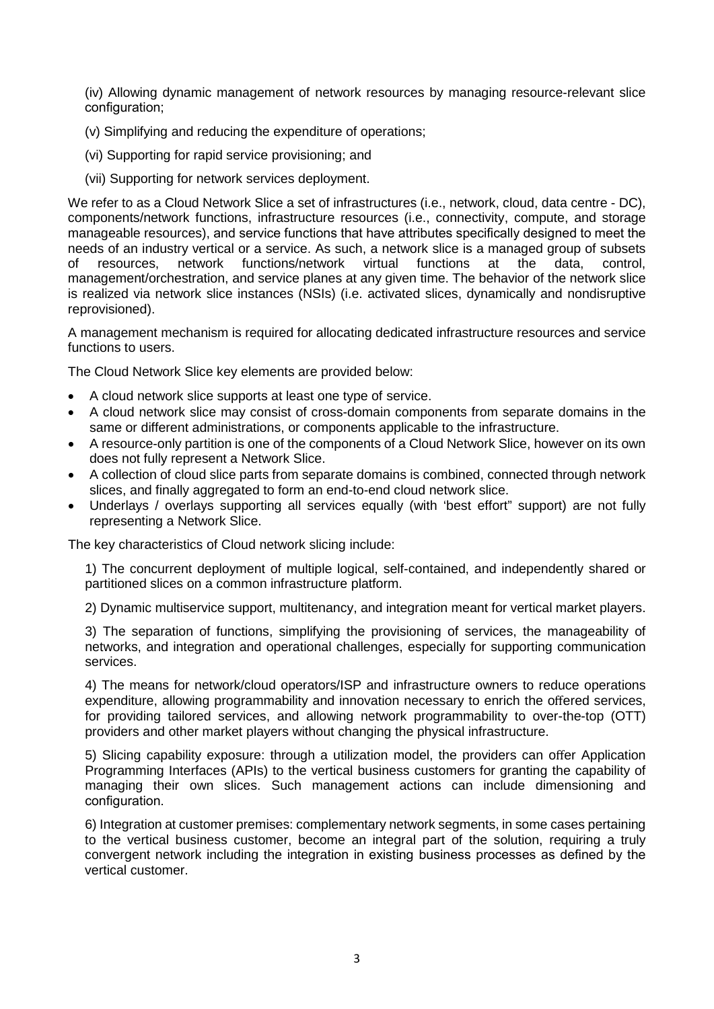(iv) Allowing dynamic management of network resources by managing resource-relevant slice configuration;

- (v) Simplifying and reducing the expenditure of operations;
- (vi) Supporting for rapid service provisioning; and
- (vii) Supporting for network services deployment.

We refer to as a Cloud Network Slice a set of infrastructures (i.e., network, cloud, data centre - DC), components/network functions, infrastructure resources (i.e., connectivity, compute, and storage manageable resources), and service functions that have attributes specifically designed to meet the needs of an industry vertical or a service. As such, a network slice is a managed group of subsets<br>of resources, network functions/network virtual functions at the data, control. of resources, network functions/network virtual functions at the data, control, management/orchestration, and service planes at any given time. The behavior of the network slice is realized via network slice instances (NSIs) (i.e. activated slices, dynamically and nondisruptive reprovisioned).

A management mechanism is required for allocating dedicated infrastructure resources and service functions to users.

The Cloud Network Slice key elements are provided below:

- A cloud network slice supports at least one type of service.
- A cloud network slice may consist of cross-domain components from separate domains in the same or different administrations, or components applicable to the infrastructure.
- A resource-only partition is one of the components of a Cloud Network Slice, however on its own does not fully represent a Network Slice.
- A collection of cloud slice parts from separate domains is combined, connected through network slices, and finally aggregated to form an end-to-end cloud network slice.
- Underlays / overlays supporting all services equally (with 'best effort" support) are not fully representing a Network Slice.

The key characteristics of Cloud network slicing include:

1) The concurrent deployment of multiple logical, self-contained, and independently shared or partitioned slices on a common infrastructure platform.

2) Dynamic multiservice support, multitenancy, and integration meant for vertical market players.

3) The separation of functions, simplifying the provisioning of services, the manageability of networks, and integration and operational challenges, especially for supporting communication services.

4) The means for network/cloud operators/ISP and infrastructure owners to reduce operations expenditure, allowing programmability and innovation necessary to enrich the offered services, for providing tailored services, and allowing network programmability to over-the-top (OTT) providers and other market players without changing the physical infrastructure.

5) Slicing capability exposure: through a utilization model, the providers can offer Application Programming Interfaces (APIs) to the vertical business customers for granting the capability of managing their own slices. Such management actions can include dimensioning and configuration.

6) Integration at customer premises: complementary network segments, in some cases pertaining to the vertical business customer, become an integral part of the solution, requiring a truly convergent network including the integration in existing business processes as defined by the vertical customer.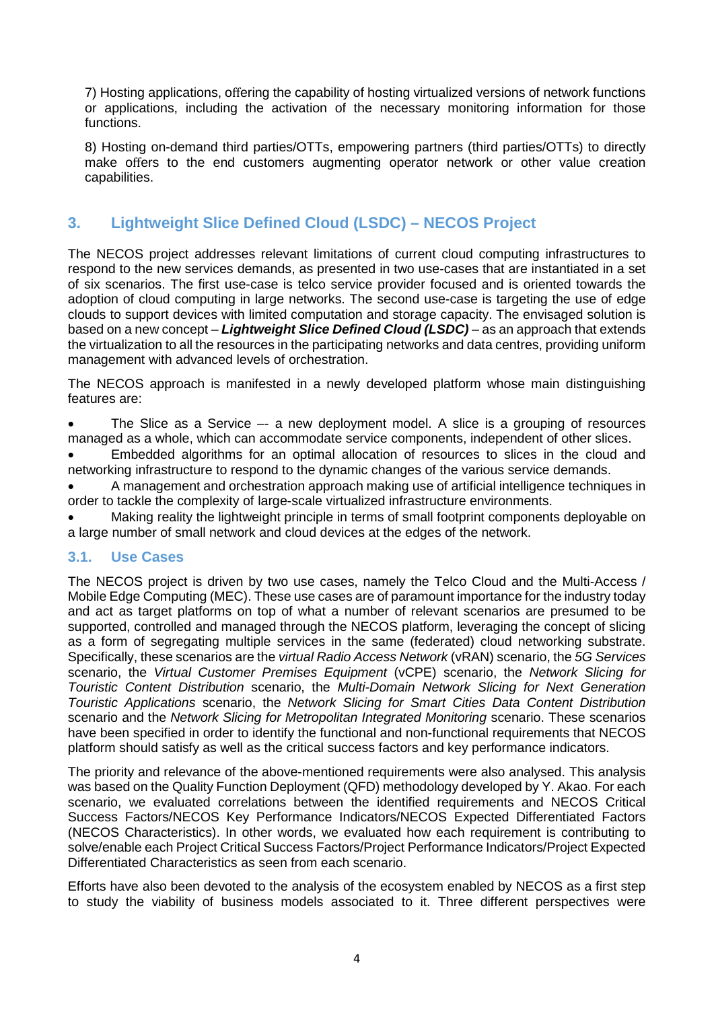7) Hosting applications, offering the capability of hosting virtualized versions of network functions or applications, including the activation of the necessary monitoring information for those functions.

8) Hosting on-demand third parties/OTTs, empowering partners (third parties/OTTs) to directly make offers to the end customers augmenting operator network or other value creation capabilities.

# **3. Lightweight Slice Defined Cloud (LSDC) – NECOS Project**

The NECOS project addresses relevant limitations of current cloud computing infrastructures to respond to the new services demands, as presented in two use-cases that are instantiated in a set of six scenarios. The first use-case is telco service provider focused and is oriented towards the adoption of cloud computing in large networks. The second use-case is targeting the use of edge clouds to support devices with limited computation and storage capacity. The envisaged solution is based on a new concept – *Lightweight Slice Defined Cloud (LSDC)* – as an approach that extends the virtualization to all the resources in the participating networks and data centres, providing uniform management with advanced levels of orchestration.

The NECOS approach is manifested in a newly developed platform whose main distinguishing features are:

• The Slice as a Service –- a new deployment model. A slice is a grouping of resources managed as a whole, which can accommodate service components, independent of other slices.

• Embedded algorithms for an optimal allocation of resources to slices in the cloud and networking infrastructure to respond to the dynamic changes of the various service demands.

• A management and orchestration approach making use of artificial intelligence techniques in order to tackle the complexity of large-scale virtualized infrastructure environments.

• Making reality the lightweight principle in terms of small footprint components deployable on a large number of small network and cloud devices at the edges of the network.

#### **3.1. Use Cases**

The NECOS project is driven by two use cases, namely the Telco Cloud and the Multi-Access / Mobile Edge Computing (MEC). These use cases are of paramount importance for the industry today and act as target platforms on top of what a number of relevant scenarios are presumed to be supported, controlled and managed through the NECOS platform, leveraging the concept of slicing as a form of segregating multiple services in the same (federated) cloud networking substrate. Specifically, these scenarios are the *virtual Radio Access Network* (vRAN) scenario, the *5G Services* scenario, the *Virtual Customer Premises Equipment* (vCPE) scenario, the *Network Slicing for Touristic Content Distribution* scenario, the *Multi-Domain Network Slicing for Next Generation Touristic Applications* scenario, the *Network Slicing for Smart Cities Data Content Distribution* scenario and the *Network Slicing for Metropolitan Integrated Monitoring* scenario. These scenarios have been specified in order to identify the functional and non-functional requirements that NECOS platform should satisfy as well as the critical success factors and key performance indicators.

The priority and relevance of the above-mentioned requirements were also analysed. This analysis was based on the Quality Function Deployment (QFD) methodology developed by Y. Akao. For each scenario, we evaluated correlations between the identified requirements and NECOS Critical Success Factors/NECOS Key Performance Indicators/NECOS Expected Differentiated Factors (NECOS Characteristics). In other words, we evaluated how each requirement is contributing to solve/enable each Project Critical Success Factors/Project Performance Indicators/Project Expected Differentiated Characteristics as seen from each scenario.

Efforts have also been devoted to the analysis of the ecosystem enabled by NECOS as a first step to study the viability of business models associated to it. Three different perspectives were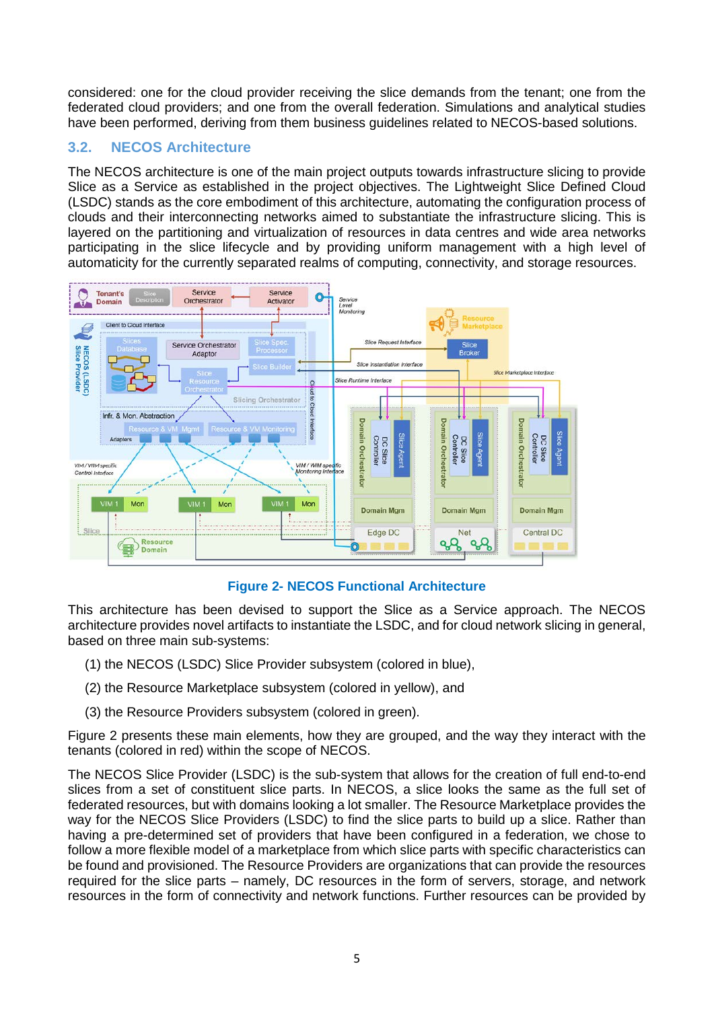considered: one for the cloud provider receiving the slice demands from the tenant; one from the federated cloud providers; and one from the overall federation. Simulations and analytical studies have been performed, deriving from them business guidelines related to NECOS-based solutions.

#### **3.2. NECOS Architecture**

The NECOS architecture is one of the main project outputs towards infrastructure slicing to provide Slice as a Service as established in the project objectives. The Lightweight Slice Defined Cloud (LSDC) stands as the core embodiment of this architecture, automating the configuration process of clouds and their interconnecting networks aimed to substantiate the infrastructure slicing. This is layered on the partitioning and virtualization of resources in data centres and wide area networks participating in the slice lifecycle and by providing uniform management with a high level of automaticity for the currently separated realms of computing, connectivity, and storage resources.



**Figure 2- NECOS Functional Architecture**

This architecture has been devised to support the Slice as a Service approach. The NECOS architecture provides novel artifacts to instantiate the LSDC, and for cloud network slicing in general, based on three main sub-systems:

- (1) the NECOS (LSDC) Slice Provider subsystem (colored in blue),
- (2) the Resource Marketplace subsystem (colored in yellow), and
- (3) the Resource Providers subsystem (colored in green).

Figure 2 presents these main elements, how they are grouped, and the way they interact with the tenants (colored in red) within the scope of NECOS.

The NECOS Slice Provider (LSDC) is the sub-system that allows for the creation of full end-to-end slices from a set of constituent slice parts. In NECOS, a slice looks the same as the full set of federated resources, but with domains looking a lot smaller. The Resource Marketplace provides the way for the NECOS Slice Providers (LSDC) to find the slice parts to build up a slice. Rather than having a pre-determined set of providers that have been configured in a federation, we chose to follow a more flexible model of a marketplace from which slice parts with specific characteristics can be found and provisioned. The Resource Providers are organizations that can provide the resources required for the slice parts – namely, DC resources in the form of servers, storage, and network resources in the form of connectivity and network functions. Further resources can be provided by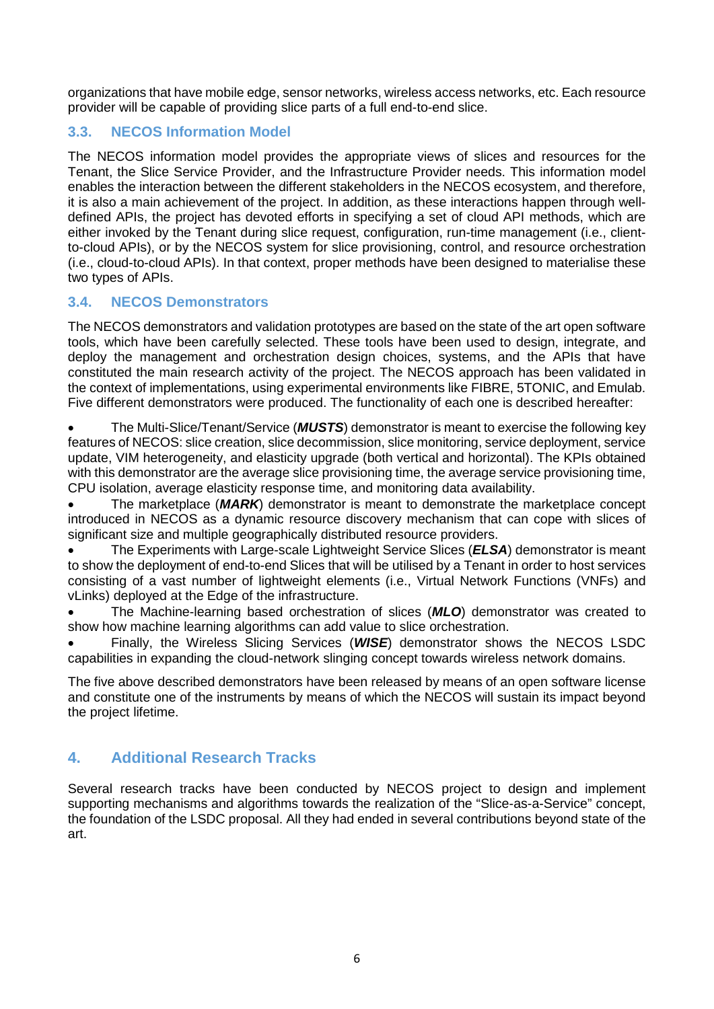organizations that have mobile edge, sensor networks, wireless access networks, etc. Each resource provider will be capable of providing slice parts of a full end-to-end slice.

#### **3.3. NECOS Information Model**

The NECOS information model provides the appropriate views of slices and resources for the Tenant, the Slice Service Provider, and the Infrastructure Provider needs. This information model enables the interaction between the different stakeholders in the NECOS ecosystem, and therefore, it is also a main achievement of the project. In addition, as these interactions happen through welldefined APIs, the project has devoted efforts in specifying a set of cloud API methods, which are either invoked by the Tenant during slice request, configuration, run-time management (i.e., clientto-cloud APIs), or by the NECOS system for slice provisioning, control, and resource orchestration (i.e., cloud-to-cloud APIs). In that context, proper methods have been designed to materialise these two types of APIs.

#### **3.4. NECOS Demonstrators**

The NECOS demonstrators and validation prototypes are based on the state of the art open software tools, which have been carefully selected. These tools have been used to design, integrate, and deploy the management and orchestration design choices, systems, and the APIs that have constituted the main research activity of the project. The NECOS approach has been validated in the context of implementations, using experimental environments like FIBRE, 5TONIC, and Emulab. Five different demonstrators were produced. The functionality of each one is described hereafter:

• The Multi-Slice/Tenant/Service (*MUSTS*) demonstrator is meant to exercise the following key features of NECOS: slice creation, slice decommission, slice monitoring, service deployment, service update, VIM heterogeneity, and elasticity upgrade (both vertical and horizontal). The KPIs obtained with this demonstrator are the average slice provisioning time, the average service provisioning time, CPU isolation, average elasticity response time, and monitoring data availability.

• The marketplace (*MARK*) demonstrator is meant to demonstrate the marketplace concept introduced in NECOS as a dynamic resource discovery mechanism that can cope with slices of significant size and multiple geographically distributed resource providers.

• The Experiments with Large-scale Lightweight Service Slices (*ELSA*) demonstrator is meant to show the deployment of end-to-end Slices that will be utilised by a Tenant in order to host services consisting of a vast number of lightweight elements (i.e., Virtual Network Functions (VNFs) and vLinks) deployed at the Edge of the infrastructure.

• The Machine-learning based orchestration of slices (*MLO*) demonstrator was created to show how machine learning algorithms can add value to slice orchestration.

• Finally, the Wireless Slicing Services (*WISE*) demonstrator shows the NECOS LSDC capabilities in expanding the cloud-network slinging concept towards wireless network domains.

The five above described demonstrators have been released by means of an open software license and constitute one of the instruments by means of which the NECOS will sustain its impact beyond the project lifetime.

# **4. Additional Research Tracks**

Several research tracks have been conducted by NECOS project to design and implement supporting mechanisms and algorithms towards the realization of the "Slice-as-a-Service" concept, the foundation of the LSDC proposal. All they had ended in several contributions beyond state of the art.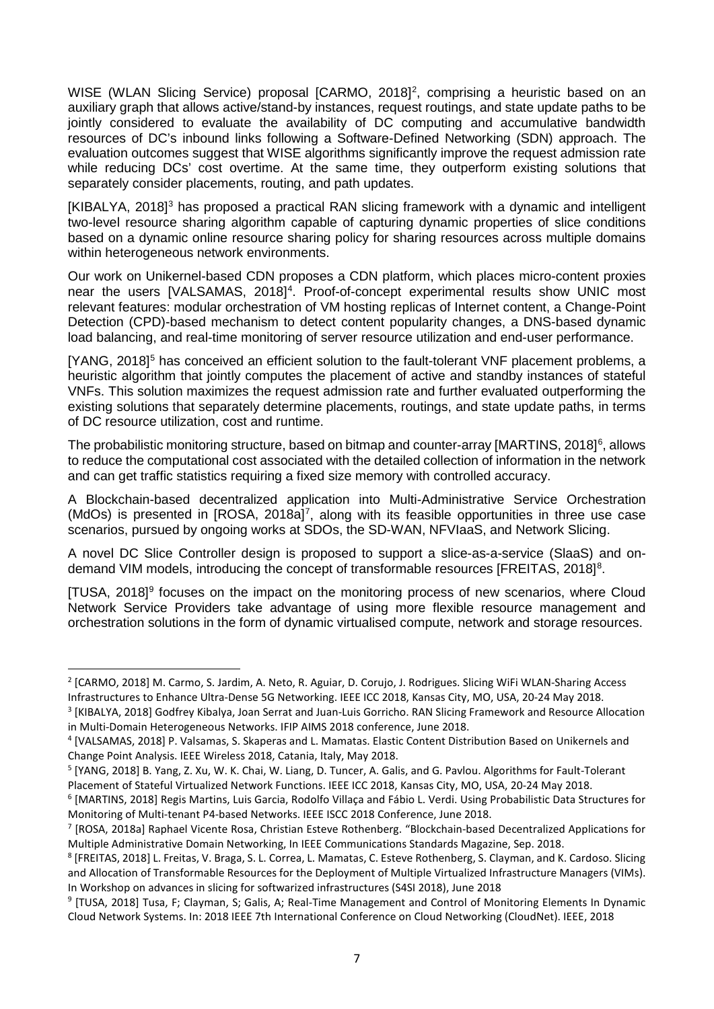WISE (WLAN Slicing Service) proposal [CARMO, [2](#page-6-0)018]<sup>2</sup>, comprising a heuristic based on an auxiliary graph that allows active/stand-by instances, request routings, and state update paths to be jointly considered to evaluate the availability of DC computing and accumulative bandwidth resources of DC's inbound links following a Software-Defined Networking (SDN) approach. The evaluation outcomes suggest that WISE algorithms significantly improve the request admission rate while reducing DCs' cost overtime. At the same time, they outperform existing solutions that separately consider placements, routing, and path updates.

[KIBALYA, 2018]<sup>[3](#page-6-1)</sup> has proposed a practical RAN slicing framework with a dynamic and intelligent two-level resource sharing algorithm capable of capturing dynamic properties of slice conditions based on a dynamic online resource sharing policy for sharing resources across multiple domains within heterogeneous network environments.

Our work on Unikernel-based CDN proposes a CDN platform, which places micro-content proxies near the users [VALSAMAS, 2018]<sup>[4](#page-6-2)</sup>. Proof-of-concept experimental results show UNIC most relevant features: modular orchestration of VM hosting replicas of Internet content, a Change-Point Detection (CPD)-based mechanism to detect content popularity changes, a DNS-based dynamic load balancing, and real-time monitoring of server resource utilization and end-user performance.

[YANG, 2018]<sup>[5](#page-6-3)</sup> has conceived an efficient solution to the fault-tolerant VNF placement problems, a heuristic algorithm that jointly computes the placement of active and standby instances of stateful VNFs. This solution maximizes the request admission rate and further evaluated outperforming the existing solutions that separately determine placements, routings, and state update paths, in terms of DC resource utilization, cost and runtime.

The probabilistic monitoring structure, based on bitmap and counter-array [MARTINS, 2018]<sup>[6](#page-6-4)</sup>, allows to reduce the computational cost associated with the detailed collection of information in the network and can get traffic statistics requiring a fixed size memory with controlled accuracy.

A Blockchain-based decentralized application into Multi-Administrative Service Orchestration (MdOs) is presented in [ROSA, 2018a]<sup>[7](#page-6-5)</sup>, along with its feasible opportunities in three use case scenarios, pursued by ongoing works at SDOs, the SD-WAN, NFVIaaS, and Network Slicing.

A novel DC Slice Controller design is proposed to support a slice-as-a-service (SlaaS) and on-demand VIM models, introducing the concept of transformable resources [FREITAS, 201[8](#page-6-6)]<sup>8</sup>.

[TUSA, 2018[\]9](#page-6-7) focuses on the impact on the monitoring process of new scenarios, where Cloud Network Service Providers take advantage of using more flexible resource management and orchestration solutions in the form of dynamic virtualised compute, network and storage resources.

<span id="page-6-0"></span> <sup>2</sup> [CARMO, 2018] M. Carmo, S. Jardim, A. Neto, R. Aguiar, D. Corujo, J. Rodrigues. Slicing WiFi WLAN-Sharing Access Infrastructures to Enhance Ultra-Dense 5G Networking. IEEE ICC 2018, Kansas City, MO, USA, 20-24 May 2018.

<span id="page-6-1"></span><sup>3</sup> [KIBALYA, 2018] Godfrey Kibalya, Joan Serrat and Juan-Luis Gorricho. RAN Slicing Framework and Resource Allocation in Multi-Domain Heterogeneous Networks. IFIP AIMS 2018 conference, June 2018.

<span id="page-6-2"></span><sup>4</sup> [VALSAMAS, 2018] P. Valsamas, S. Skaperas and L. Mamatas. Elastic Content Distribution Based on Unikernels and Change Point Analysis. IEEE Wireless 2018, Catania, Italy, May 2018.

<span id="page-6-3"></span><sup>5</sup> [YANG, 2018] B. Yang, Z. Xu, W. K. Chai, W. Liang, D. Tuncer, A. Galis, and G. Pavlou. Algorithms for Fault-Tolerant Placement of Stateful Virtualized Network Functions. IEEE ICC 2018, Kansas City, MO, USA, 20-24 May 2018.

<span id="page-6-4"></span><sup>6</sup> [MARTINS, 2018] Regis Martins, Luis Garcia, Rodolfo Villaça and Fábio L. Verdi. Using Probabilistic Data Structures for Monitoring of Multi-tenant P4-based Networks. IEEE ISCC 2018 Conference, June 2018.

<span id="page-6-5"></span><sup>7</sup> [ROSA, 2018a] Raphael Vicente Rosa, Christian Esteve Rothenberg. "Blockchain-based Decentralized Applications for Multiple Administrative Domain Networking, In IEEE Communications Standards Magazine, Sep. 2018.

<span id="page-6-6"></span><sup>8</sup> [FREITAS, 2018] L. Freitas, V. Braga, S. L. Correa, L. Mamatas, C. Esteve Rothenberg, S. Clayman, and K. Cardoso. Slicing and Allocation of Transformable Resources for the Deployment of Multiple Virtualized Infrastructure Managers (VIMs). In Workshop on advances in slicing for softwarized infrastructures (S4SI 2018), June 2018

<span id="page-6-7"></span><sup>9</sup> [TUSA, 2018] Tusa, F; Clayman, S; Galis, A; Real-Time Management and Control of Monitoring Elements In Dynamic Cloud Network Systems. In: 2018 IEEE 7th International Conference on Cloud Networking (CloudNet). IEEE, 2018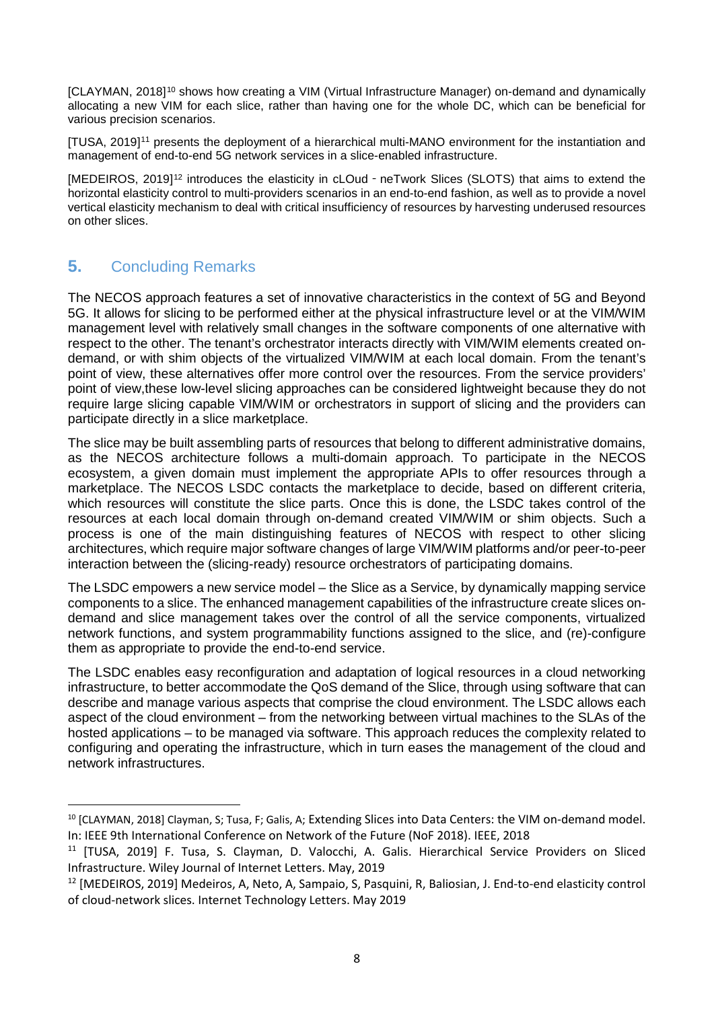[CLAYMAN, 2018][10](#page-7-0) shows how creating a VIM (Virtual Infrastructure Manager) on-demand and dynamically allocating a new VIM for each slice, rather than having one for the whole DC, which can be beneficial for various precision scenarios.

[TUSA, 2019][11](#page-7-1) presents the deployment of a hierarchical multi-MANO environment for the instantiation and management of end-to-end 5G network services in a slice-enabled infrastructure.

[MEDEIROS, 2019][12](#page-7-2) introduces the elasticity in cLOud‐neTwork Slices (SLOTS) that aims to extend the horizontal elasticity control to multi-providers scenarios in an end-to-end fashion, as well as to provide a novel vertical elasticity mechanism to deal with critical insufficiency of resources by harvesting underused resources on other slices.

# **5.** Concluding Remarks

The NECOS approach features a set of innovative characteristics in the context of 5G and Beyond 5G. It allows for slicing to be performed either at the physical infrastructure level or at the VIM/WIM management level with relatively small changes in the software components of one alternative with respect to the other. The tenant's orchestrator interacts directly with VIM/WIM elements created ondemand, or with shim objects of the virtualized VIM/WIM at each local domain. From the tenant's point of view, these alternatives offer more control over the resources. From the service providers' point of view,these low-level slicing approaches can be considered lightweight because they do not require large slicing capable VIM/WIM or orchestrators in support of slicing and the providers can participate directly in a slice marketplace.

The slice may be built assembling parts of resources that belong to different administrative domains, as the NECOS architecture follows a multi-domain approach. To participate in the NECOS ecosystem, a given domain must implement the appropriate APIs to offer resources through a marketplace. The NECOS LSDC contacts the marketplace to decide, based on different criteria, which resources will constitute the slice parts. Once this is done, the LSDC takes control of the resources at each local domain through on-demand created VIM/WIM or shim objects. Such a process is one of the main distinguishing features of NECOS with respect to other slicing architectures, which require major software changes of large VIM/WIM platforms and/or peer-to-peer interaction between the (slicing-ready) resource orchestrators of participating domains.

The LSDC empowers a new service model – the Slice as a Service, by dynamically mapping service components to a slice. The enhanced management capabilities of the infrastructure create slices ondemand and slice management takes over the control of all the service components, virtualized network functions, and system programmability functions assigned to the slice, and (re)-configure them as appropriate to provide the end-to-end service.

The LSDC enables easy reconfiguration and adaptation of logical resources in a cloud networking infrastructure, to better accommodate the QoS demand of the Slice, through using software that can describe and manage various aspects that comprise the cloud environment. The LSDC allows each aspect of the cloud environment – from the networking between virtual machines to the SLAs of the hosted applications – to be managed via software. This approach reduces the complexity related to configuring and operating the infrastructure, which in turn eases the management of the cloud and network infrastructures.

<span id="page-7-0"></span> <sup>10</sup> [CLAYMAN, 2018] Clayman, S; Tusa, F; Galis, A; Extending Slices into Data Centers: the VIM on-demand model. In: IEEE 9th International Conference on Network of the Future (NoF 2018). IEEE, 2018

<span id="page-7-1"></span><sup>&</sup>lt;sup>11</sup> [TUSA, 2019] F. Tusa, S. Clayman, D. Valocchi, A. Galis. Hierarchical Service Providers on Sliced Infrastructure. Wiley Journal of Internet Letters. May, 2019

<span id="page-7-2"></span><sup>12</sup> [MEDEIROS, 2019] Medeiros, A, Neto, A, Sampaio, S, Pasquini, R, Baliosian, J. End-to-end elasticity control of cloud-network slices. Internet Technology Letters. May 2019